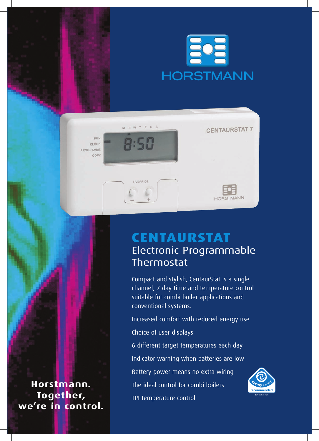

| RUN<br>CLOCK      | M T W T F S S | <b>CENTAURSTAT 7</b> |
|-------------------|---------------|----------------------|
| PROGRAMME<br>COPY |               | ×                    |
|                   | OVERRIDE      | <b>HORSTMANN</b>     |

## **CentaurStat** Electronic Programmable Thermostat

Compact and stylish, CentaurStat is a single channel, 7 day time and temperature control suitable for combi boiler applications and conventional systems.

Increased comfort with reduced energy use Choice of user displays

6 different target temperatures each day Indicator warning when batteries are low Battery power means no extra wiring The ideal control for combi boilers TPI temperature control



**Horstmann. Together, we're in control.**